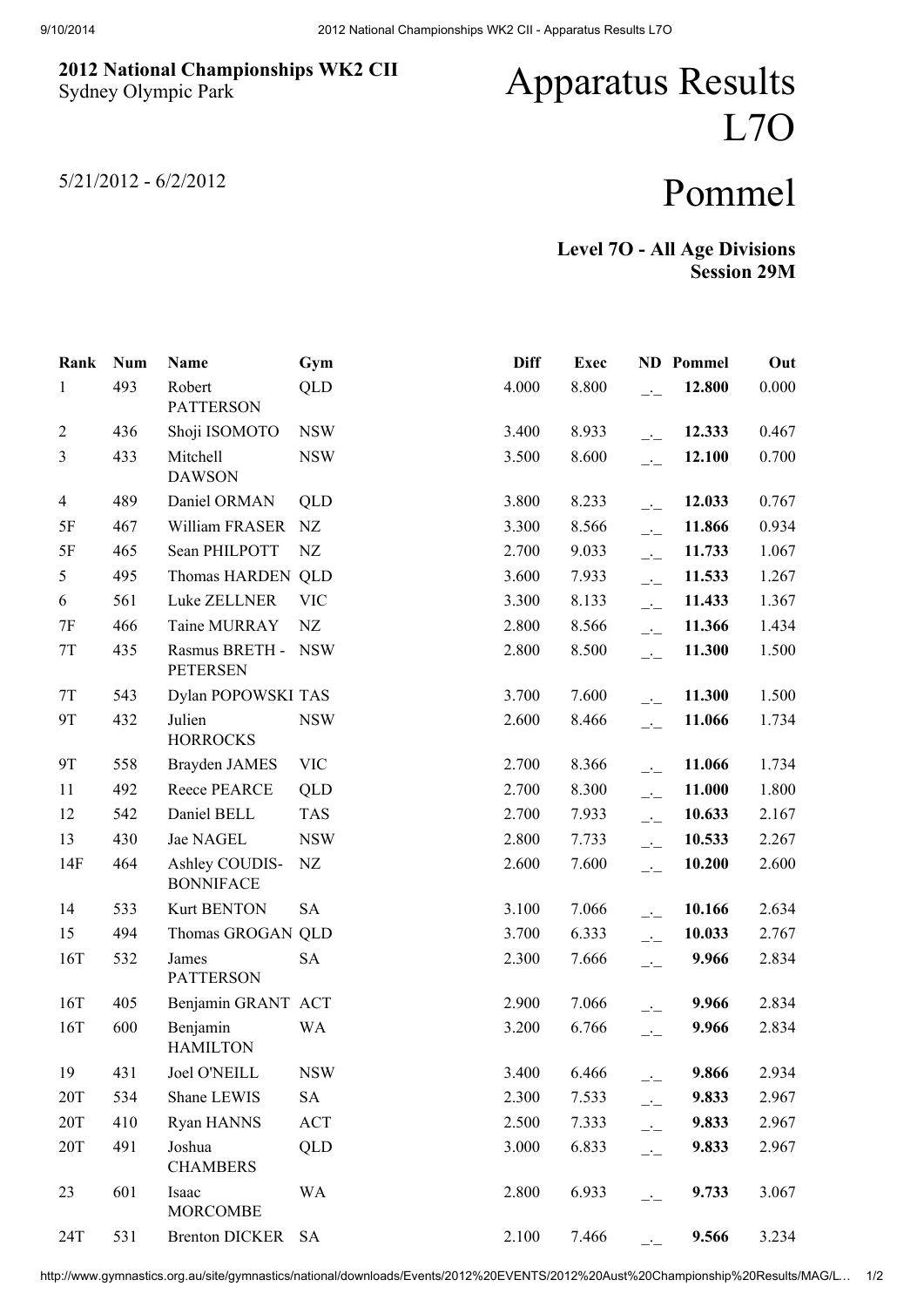## 2012 National Championships WK2 CII Sydney Olympic Park

## Apparatus Results L7O

5/21/2012 - 6/2/2012

## Pommel

Level 7O - All Age Divisions Session 29M

| Rank           | <b>Num</b> | Name                               | Gym        | <b>Diff</b> | <b>Exec</b> |                                                   | <b>ND</b> Pommel | Out   |
|----------------|------------|------------------------------------|------------|-------------|-------------|---------------------------------------------------|------------------|-------|
| $\mathbf{1}$   | 493        | Robert<br><b>PATTERSON</b>         | <b>QLD</b> | 4.000       | 8.800       | $\overline{\phantom{a}}$                          | 12.800           | 0.000 |
| $\overline{2}$ | 436        | Shoji ISOMOTO                      | <b>NSW</b> | 3.400       | 8.933       | $-1$                                              | 12.333           | 0.467 |
| $\mathfrak{Z}$ | 433        | Mitchell<br><b>DAWSON</b>          | <b>NSW</b> | 3.500       | 8.600       | $\overline{\phantom{a}}$                          | 12.100           | 0.700 |
| $\overline{4}$ | 489        | Daniel ORMAN                       | <b>QLD</b> | 3.800       | 8.233       | $-1$                                              | 12.033           | 0.767 |
| 5F             | 467        | William FRASER                     | NZ         | 3.300       | 8.566       | $\overline{\phantom{a}}$                          | 11.866           | 0.934 |
| 5F             | 465        | Sean PHILPOTT                      | NZ         | 2.700       | 9.033       | $\overline{\phantom{a}}$                          | 11.733           | 1.067 |
| 5              | 495        | Thomas HARDEN QLD                  |            | 3.600       | 7.933       | $\overline{\phantom{a}}$                          | 11.533           | 1.267 |
| 6              | 561        | Luke ZELLNER                       | <b>VIC</b> | 3.300       | 8.133       | $\overline{\mathcal{L}}$                          | 11.433           | 1.367 |
| 7F             | 466        | Taine MURRAY                       | NZ         | 2.800       | 8.566       | $\overline{\phantom{a}}$                          | 11.366           | 1.434 |
| $7\mathrm{T}$  | 435        | Rasmus BRETH -<br><b>PETERSEN</b>  | <b>NSW</b> | 2.800       | 8.500       | $\overline{a}$                                    | 11.300           | 1.500 |
| $7\mathrm{T}$  | 543        | Dylan POPOWSKI TAS                 |            | 3.700       | 7.600       | $\overline{\phantom{a}}$                          | 11.300           | 1.500 |
| 9T             | 432        | Julien<br><b>HORROCKS</b>          | <b>NSW</b> | 2.600       | 8.466       | $\overline{\phantom{a}}$                          | 11.066           | 1.734 |
| 9T             | 558        | Brayden JAMES                      | <b>VIC</b> | 2.700       | 8.366       | $\frac{1}{2}$                                     | 11.066           | 1.734 |
| 11             | 492        | Reece PEARCE                       | QLD        | 2.700       | 8.300       | $\overline{a}$                                    | 11.000           | 1.800 |
| 12             | 542        | Daniel BELL                        | <b>TAS</b> | 2.700       | 7.933       | $\overline{\phantom{a}}$                          | 10.633           | 2.167 |
| 13             | 430        | Jae NAGEL                          | <b>NSW</b> | 2.800       | 7.733       | $\overline{\phantom{a}}$ :                        | 10.533           | 2.267 |
| 14F            | 464        | Ashley COUDIS-<br><b>BONNIFACE</b> | NZ         | 2.600       | 7.600       | $\overline{\phantom{a}}$                          | 10.200           | 2.600 |
| 14             | 533        | <b>Kurt BENTON</b>                 | <b>SA</b>  | 3.100       | 7.066       | $\overline{\phantom{a}}$                          | 10.166           | 2.634 |
| 15             | 494        | Thomas GROGAN QLD                  |            | 3.700       | 6.333       | $\overline{\phantom{a}}$                          | 10.033           | 2.767 |
| 16T            | 532        | James<br><b>PATTERSON</b>          | <b>SA</b>  | 2.300       | 7.666       | $\overline{\phantom{a}}$                          | 9.966            | 2.834 |
| 16T            | 405        | Benjamin GRANT ACT                 |            | 2.900       | 7.066       | $\overline{a}$                                    | 9.966            | 2.834 |
| 16T            | 600        | Benjamin<br><b>HAMILTON</b>        | <b>WA</b>  | 3.200       | 6.766       | $\overline{\phantom{a}}$                          | 9.966            | 2.834 |
| 19             | 431        | Joel O'NEILL                       | <b>NSW</b> | 3.400       | 6.466       | $\overline{\phantom{a}}$                          | 9.866            | 2.934 |
| 20T            | 534        | Shane LEWIS                        | <b>SA</b>  | 2.300       | 7.533       | $\overline{\phantom{a}}$ $\overline{\phantom{a}}$ | 9.833            | 2.967 |
| 20T            | 410        | Ryan HANNS                         | <b>ACT</b> | 2.500       | 7.333       | $\overline{\phantom{a}}$ $\overline{\phantom{a}}$ | 9.833            | 2.967 |
| 20T            | 491        | Joshua<br><b>CHAMBERS</b>          | QLD        | 3.000       | 6.833       | $-1$                                              | 9.833            | 2.967 |
| 23             | 601        | Isaac<br><b>MORCOMBE</b>           | <b>WA</b>  | 2.800       | 6.933       | $ -$                                              | 9.733            | 3.067 |
| 24T            | 531        | <b>Brenton DICKER</b>              | <b>SA</b>  | 2.100       | 7.466       | $\overline{\phantom{a}}$                          | 9.566            | 3.234 |